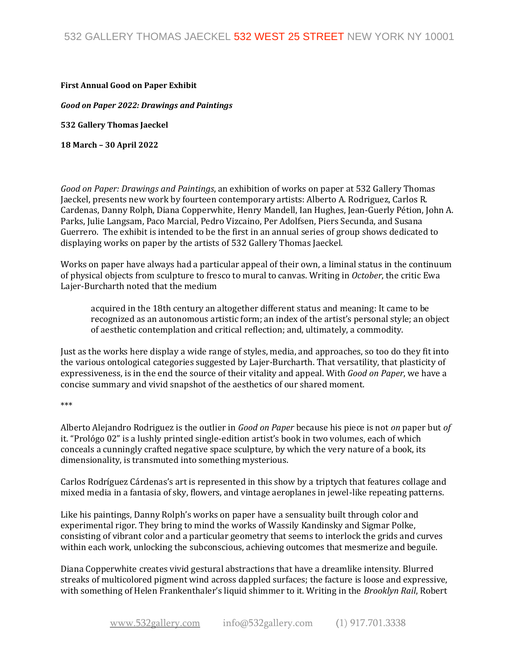## **First Annual Good on Paper Exhibit**

*Good on Paper 2022: Drawings and Paintings*

**532 Gallery Thomas Jaeckel**

**18 March – 30 April 2022**

*Good on Paper: Drawings and Paintings*, an exhibition of works on paper at 532 Gallery Thomas Jaeckel, presents new work by fourteen contemporary artists: Alberto A. Rodriguez, Carlos R. Cardenas, Danny Rolph, Diana Copperwhite, Henry Mandell, Ian Hughes, Jean-Guerly Pétion, John A. Parks, Julie Langsam, Paco Marcial, Pedro Vizcaino, Per Adolfsen, Piers Secunda, and Susana Guerrero. The exhibit is intended to be the first in an annual series of group shows dedicated to displaying works on paper by the artists of 532 Gallery Thomas Jaeckel.

Works on paper have always had a particular appeal of their own, a liminal status in the continuum of physical objects from sculpture to fresco to mural to canvas. Writing in *October*, the critic Ewa Lajer-Burcharth noted that the medium

acquired in the 18th century an altogether different status and meaning: It came to be recognized as an autonomous artistic form; an index of the artist's personal style; an object of aesthetic contemplation and critical reflection; and, ultimately, a commodity.

Just as the works here display a wide range of styles, media, and approaches, so too do they fit into the various ontological categories suggested by Lajer-Burcharth. That versatility, that plasticity of expressiveness, is in the end the source of their vitality and appeal. With *Good on Paper*, we have a concise summary and vivid snapshot of the aesthetics of our shared moment.

\*\*\*

Alberto Alejandro Rodriguez is the outlier in *Good on Paper* because his piece is not *on* paper but *of*  it. "Prológo 02" is a lushly printed single-edition artist's book in two volumes, each of which conceals a cunningly crafted negative space sculpture, by which the very nature of a book, its dimensionality, is transmuted into something mysterious.

Carlos Rodríguez Cárdenas's art is represented in this show by a triptych that features collage and mixed media in a fantasia of sky, flowers, and vintage aeroplanes in jewel-like repeating patterns.

Like his paintings, Danny Rolph's works on paper have a sensuality built through color and experimental rigor. They bring to mind the works of Wassily Kandinsky and Sigmar Polke, consisting of vibrant color and a particular geometry that seems to interlock the grids and curves within each work, unlocking the subconscious, achieving outcomes that mesmerize and beguile.

Diana Copperwhite creates vivid gestural abstractions that have a dreamlike intensity. Blurred streaks of multicolored pigment wind across dappled surfaces; the facture is loose and expressive, with something of Helen Frankenthaler's liquid shimmer to it. Writing in the *Brooklyn Rail*, Robert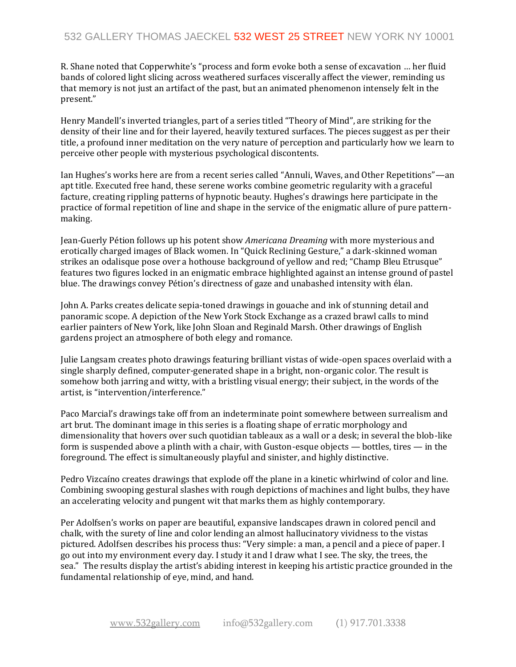R. Shane noted that Copperwhite's "process and form evoke both a sense of excavation … her fluid bands of colored light slicing across weathered surfaces viscerally affect the viewer, reminding us that memory is not just an artifact of the past, but an animated phenomenon intensely felt in the present."

Henry Mandell's inverted triangles, part of a series titled "Theory of Mind", are striking for the density of their line and for their layered, heavily textured surfaces. The pieces suggest as per their title, a profound inner meditation on the very nature of perception and particularly how we learn to perceive other people with mysterious psychological discontents.

Ian Hughes's works here are from a recent series called "Annuli, Waves, and Other Repetitions"—an apt title. Executed free hand, these serene works combine geometric regularity with a graceful facture, creating rippling patterns of hypnotic beauty. Hughes's drawings here participate in the practice of formal repetition of line and shape in the service of the enigmatic allure of pure patternmaking.

Jean-Guerly Pétion follows up his potent show *Americana Dreaming* with more mysterious and erotically charged images of Black women. In "Quick Reclining Gesture," a dark-skinned woman strikes an odalisque pose over a hothouse background of yellow and red; "Champ Bleu Etrusque" features two figures locked in an enigmatic embrace highlighted against an intense ground of pastel blue. The drawings convey Pétion's directness of gaze and unabashed intensity with élan.

John A. Parks creates delicate sepia-toned drawings in gouache and ink of stunning detail and panoramic scope. A depiction of the New York Stock Exchange as a crazed brawl calls to mind earlier painters of New York, like John Sloan and Reginald Marsh. Other drawings of English gardens project an atmosphere of both elegy and romance.

Julie Langsam creates photo drawings featuring brilliant vistas of wide-open spaces overlaid with a single sharply defined, computer-generated shape in a bright, non-organic color. The result is somehow both jarring and witty, with a bristling visual energy; their subject, in the words of the artist, is "intervention/interference."

Paco Marcial's drawings take off from an indeterminate point somewhere between surrealism and art brut. The dominant image in this series is a floating shape of erratic morphology and dimensionality that hovers over such quotidian tableaux as a wall or a desk; in several the blob-like form is suspended above a plinth with a chair, with Guston-esque objects — bottles, tires — in the foreground. The effect is simultaneously playful and sinister, and highly distinctive.

Pedro Vizcaíno creates drawings that explode off the plane in a kinetic whirlwind of color and line. Combining swooping gestural slashes with rough depictions of machines and light bulbs, they have an accelerating velocity and pungent wit that marks them as highly contemporary.

Per Adolfsen's works on paper are beautiful, expansive landscapes drawn in colored pencil and chalk, with the surety of line and color lending an almost hallucinatory vividness to the vistas pictured. Adolfsen describes his process thus: "Very simple: a man, a pencil and a piece of paper. I go out into my environment every day. I study it and I draw what I see. The sky, the trees, the sea." The results display the artist's abiding interest in keeping his artistic practice grounded in the fundamental relationship of eye, mind, and hand.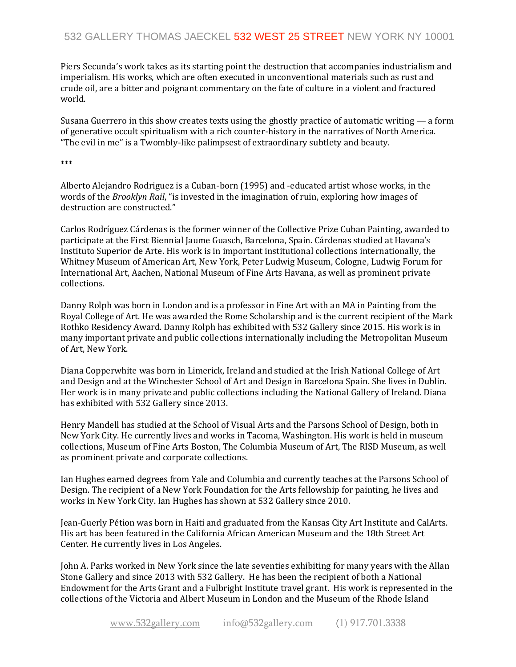## 532 GALLERY THOMAS JAECKEL 532 WEST 25 STREET NEW YORK NY 10001

Piers Secunda's work takes as its starting point the destruction that accompanies industrialism and imperialism. His works, which are often executed in unconventional materials such as rust and crude oil, are a bitter and poignant commentary on the fate of culture in a violent and fractured world.

Susana Guerrero in this show creates texts using the ghostly practice of automatic writing — a form of generative occult spiritualism with a rich counter-history in the narratives of North America. "The evil in me" is a Twombly-like palimpsest of extraordinary subtlety and beauty.

\*\*\*

Alberto Alejandro Rodriguez is a Cuban-born (1995) and -educated artist whose works, in the words of the *Brooklyn Rail*, "is invested in the imagination of ruin, exploring how images of destruction are constructed."

Carlos Rodríguez Cárdenas is the former winner of the Collective Prize Cuban Painting, awarded to participate at the First Biennial Jaume Guasch, Barcelona, Spain. Cárdenas studied at Havana's Instituto Superior de Arte. His work is in important institutional collections internationally, the Whitney Museum of American Art, New York, Peter Ludwig Museum, Cologne, Ludwig Forum for International Art, Aachen, National Museum of Fine Arts Havana, as well as prominent private collections.

Danny Rolph was born in London and is a professor in Fine Art with an MA in Painting from the Royal College of Art. He was awarded the Rome Scholarship and is the current recipient of the Mark Rothko Residency Award. Danny Rolph has exhibited with 532 Gallery since 2015. His work is in many important private and public collections internationally including the Metropolitan Museum of Art, New York.

Diana Copperwhite was born in Limerick, Ireland and studied at the Irish National College of Art and Design and at the Winchester School of Art and Design in Barcelona Spain. She lives in Dublin. Her work is in many private and public collections including the National Gallery of Ireland. Diana has exhibited with 532 Gallery since 2013.

Henry Mandell has studied at the School of Visual Arts and the Parsons School of Design, both in New York City. He currently lives and works in Tacoma, Washington. His work is held in museum collections, Museum of Fine Arts Boston, The Columbia Museum of Art, The RISD Museum, as well as prominent private and corporate collections.

Ian Hughes earned degrees from Yale and Columbia and currently teaches at the Parsons School of Design. The recipient of a New York Foundation for the Arts fellowship for painting, he lives and works in New York City. Ian Hughes has shown at 532 Gallery since 2010.

Jean-Guerly Pétion was born in Haiti and graduated from the Kansas City Art Institute and CalArts. His art has been featured in the California African American Museum and the 18th Street Art Center. He currently lives in Los Angeles.

John A. Parks worked in New York since the late seventies exhibiting for many years with the Allan Stone Gallery and since 2013 with 532 Gallery. He has been the recipient of both a National Endowment for the Arts Grant and a Fulbright Institute travel grant. His work is represented in the collections of the Victoria and Albert Museum in London and the Museum of the Rhode Island